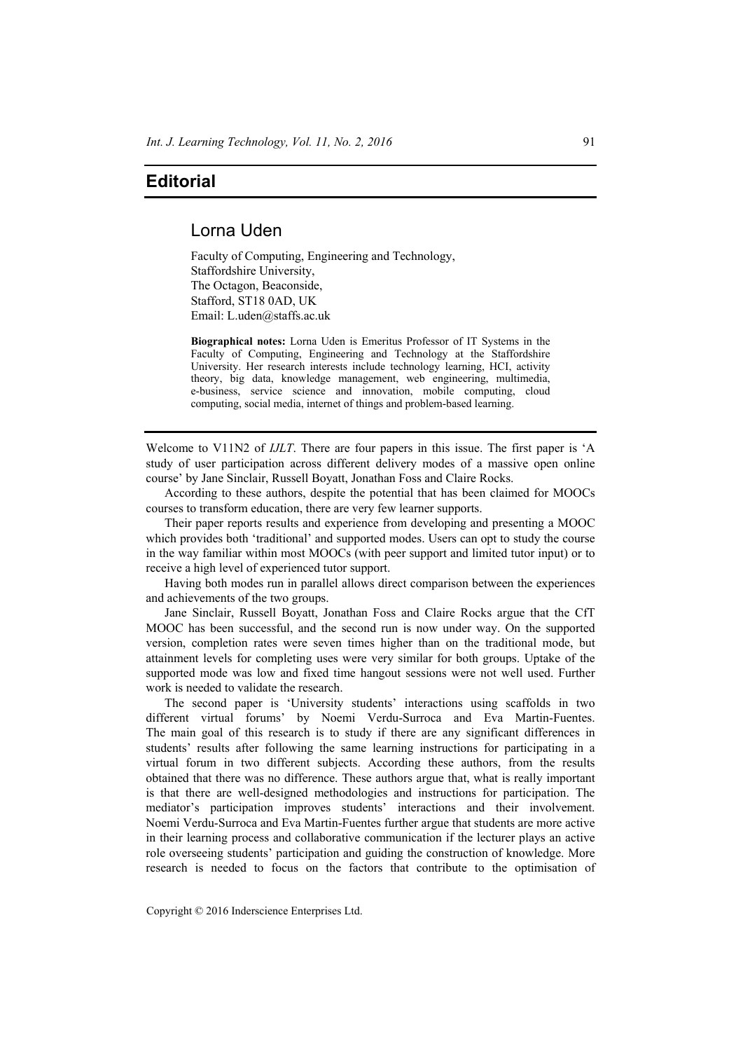## **Editorial**

## Lorna Uden

Faculty of Computing, Engineering and Technology, Staffordshire University, The Octagon, Beaconside, Stafford, ST18 0AD, UK Email: L.uden@staffs.ac.uk

**Biographical notes:** Lorna Uden is Emeritus Professor of IT Systems in the Faculty of Computing, Engineering and Technology at the Staffordshire University. Her research interests include technology learning, HCI, activity theory, big data, knowledge management, web engineering, multimedia, e-business, service science and innovation, mobile computing, cloud computing, social media, internet of things and problem-based learning.

Welcome to V11N2 of *IJLT*. There are four papers in this issue. The first paper is 'A study of user participation across different delivery modes of a massive open online course' by Jane Sinclair, Russell Boyatt, Jonathan Foss and Claire Rocks.

According to these authors, despite the potential that has been claimed for MOOCs courses to transform education, there are very few learner supports.

Their paper reports results and experience from developing and presenting a MOOC which provides both 'traditional' and supported modes. Users can opt to study the course in the way familiar within most MOOCs (with peer support and limited tutor input) or to receive a high level of experienced tutor support.

Having both modes run in parallel allows direct comparison between the experiences and achievements of the two groups.

Jane Sinclair, Russell Boyatt, Jonathan Foss and Claire Rocks argue that the CfT MOOC has been successful, and the second run is now under way. On the supported version, completion rates were seven times higher than on the traditional mode, but attainment levels for completing uses were very similar for both groups. Uptake of the supported mode was low and fixed time hangout sessions were not well used. Further work is needed to validate the research.

The second paper is 'University students' interactions using scaffolds in two different virtual forums' by Noemi Verdu-Surroca and Eva Martin-Fuentes. The main goal of this research is to study if there are any significant differences in students' results after following the same learning instructions for participating in a virtual forum in two different subjects. According these authors, from the results obtained that there was no difference. These authors argue that, what is really important is that there are well-designed methodologies and instructions for participation. The mediator's participation improves students' interactions and their involvement. Noemi Verdu-Surroca and Eva Martin-Fuentes further argue that students are more active in their learning process and collaborative communication if the lecturer plays an active role overseeing students' participation and guiding the construction of knowledge. More research is needed to focus on the factors that contribute to the optimisation of

Copyright © 2016 Inderscience Enterprises Ltd.